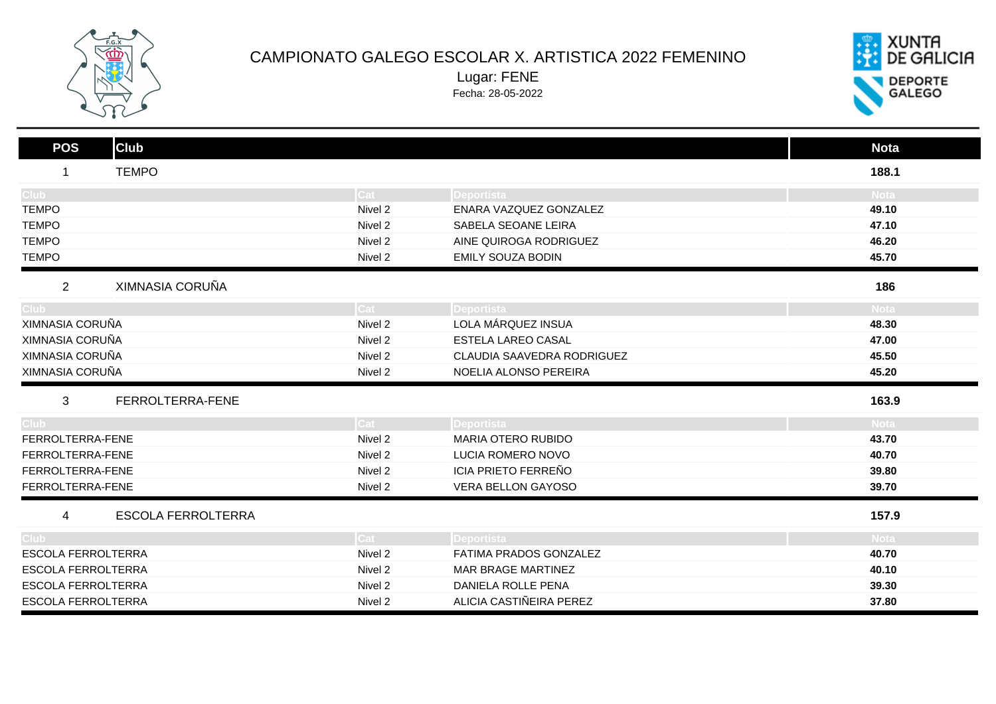

## CAMPIONATO GALEGO ESCOLAR X. ARTISTICA 2022 FEMENINO

Lugar: FENE

Fecha: 28-05-2022



| <b>Club</b><br><b>POS</b>         |         |                            | <b>Nota</b> |
|-----------------------------------|---------|----------------------------|-------------|
| <b>TEMPO</b><br>1                 |         |                            | 188.1       |
| Club :                            | Cat :   | Deportista                 | <b>Nota</b> |
| <b>TEMPO</b>                      | Nivel 2 | ENARA VAZQUEZ GONZALEZ     | 49.10       |
| <b>TEMPO</b>                      | Nivel 2 | SABELA SEOANE LEIRA        | 47.10       |
| <b>TEMPO</b>                      | Nivel 2 | AINE QUIROGA RODRIGUEZ     | 46.20       |
| <b>TEMPO</b>                      | Nivel 2 | <b>EMILY SOUZA BODIN</b>   | 45.70       |
| XIMNASIA CORUÑA<br>$\overline{2}$ |         |                            | 186         |
| Club <sub>-</sub>                 | Cat     | Deportista                 | <b>Nota</b> |
| XIMNASIA CORUÑA                   | Nivel 2 | LOLA MÁRQUEZ INSUA         | 48.30       |
| XIMNASIA CORUÑA                   | Nivel 2 | <b>ESTELA LAREO CASAL</b>  | 47.00       |
| XIMNASIA CORUÑA                   | Nivel 2 | CLAUDIA SAAVEDRA RODRIGUEZ | 45.50       |
| XIMNASIA CORUÑA                   | Nivel 2 | NOELIA ALONSO PEREIRA      | 45.20       |
| 3<br>FERROLTERRA-FENE             |         |                            | 163.9       |
| Club.                             | Cat     | Deportista                 | Nota        |
| FERROLTERRA-FENE                  | Nivel 2 | <b>MARIA OTERO RUBIDO</b>  | 43.70       |
| FERROLTERRA-FENE                  | Nivel 2 | LUCIA ROMERO NOVO          | 40.70       |
| FERROLTERRA-FENE                  | Nivel 2 | <b>ICIA PRIETO FERREÑO</b> | 39.80       |
| FERROLTERRA-FENE                  | Nivel 2 | VERA BELLON GAYOSO         | 39.70       |
| <b>ESCOLA FERROLTERRA</b><br>4    |         |                            | 157.9       |
| Club.                             | Cat :   | <b>Deportista</b>          | <b>Nota</b> |
| <b>ESCOLA FERROLTERRA</b>         | Nivel 2 | FATIMA PRADOS GONZALEZ     | 40.70       |
| ESCOLA FERROLTERRA                | Nivel 2 | <b>MAR BRAGE MARTINEZ</b>  | 40.10       |
| ESCOLA FERROLTERRA                | Nivel 2 | DANIELA ROLLE PENA         | 39.30       |
| <b>ESCOLA FERROLTERRA</b>         | Nivel 2 | ALICIA CASTIÑEIRA PEREZ    | 37.80       |